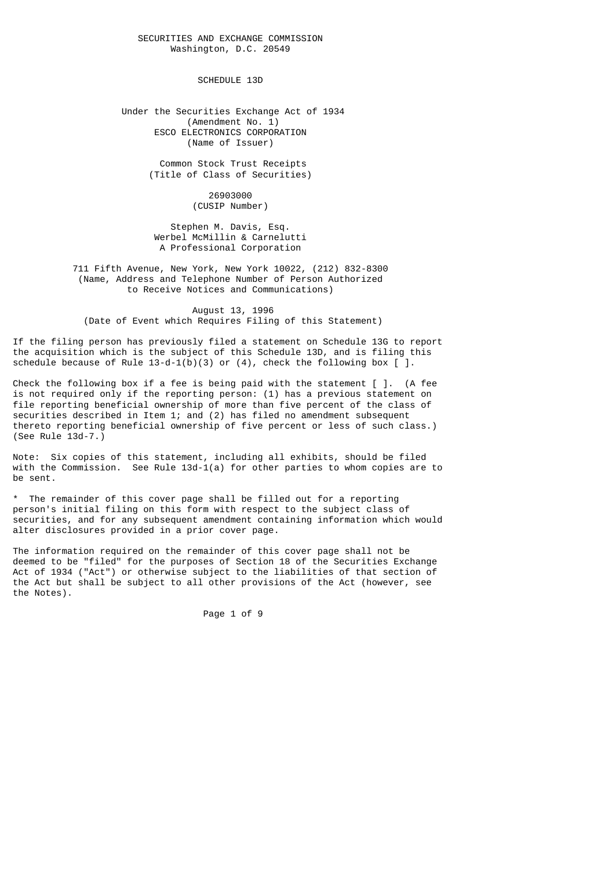### SECURITIES AND EXCHANGE COMMISSION Washington, D.C. 20549

SCHEDULE 13D

 Under the Securities Exchange Act of 1934 (Amendment No. 1) ESCO ELECTRONICS CORPORATION (Name of Issuer)

> Common Stock Trust Receipts (Title of Class of Securities)

> > 26903000 (CUSIP Number)

 Stephen M. Davis, Esq. Werbel McMillin & Carnelutti A Professional Corporation

 711 Fifth Avenue, New York, New York 10022, (212) 832-8300 (Name, Address and Telephone Number of Person Authorized to Receive Notices and Communications)

 August 13, 1996 (Date of Event which Requires Filing of this Statement)

If the filing person has previously filed a statement on Schedule 13G to report the acquisition which is the subject of this Schedule 13D, and is filing this schedule because of Rule  $13-d-1(b)(3)$  or  $(4)$ , check the following box  $\lceil$ .

Check the following box if a fee is being paid with the statement  $\lceil \cdot \rceil$ . (A fee is not required only if the reporting person: (1) has a previous statement on file reporting beneficial ownership of more than five percent of the class of securities described in Item 1; and (2) has filed no amendment subsequent thereto reporting beneficial ownership of five percent or less of such class.) (See Rule 13d-7.)

Note: Six copies of this statement, including all exhibits, should be filed with the Commission. See Rule  $13d-1(a)$  for other parties to whom copies are to be sent.

The remainder of this cover page shall be filled out for a reporting person's initial filing on this form with respect to the subject class of securities, and for any subsequent amendment containing information which would alter disclosures provided in a prior cover page.

The information required on the remainder of this cover page shall not be deemed to be "filed" for the purposes of Section 18 of the Securities Exchange Act of 1934 ("Act") or otherwise subject to the liabilities of that section of the Act but shall be subject to all other provisions of the Act (however, see the Notes).

Page 1 of 9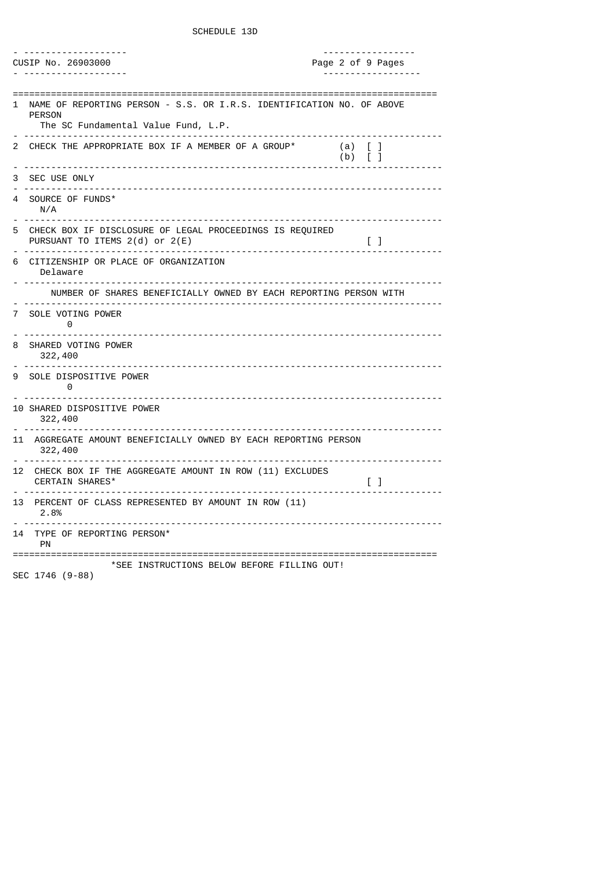| --------------------<br>CUSIP No. 26903000                                                                                         | <u>.</u><br>Page 2 of 9 Pages |
|------------------------------------------------------------------------------------------------------------------------------------|-------------------------------|
| .                                                                                                                                  |                               |
| NAME OF REPORTING PERSON - S.S. OR I.R.S. IDENTIFICATION NO. OF ABOVE<br>1<br><b>PERSON</b><br>The SC Fundamental Value Fund, L.P. |                               |
| CHECK THE APPROPRIATE BOX IF A MEMBER OF A GROUP*<br>2<br>------------------------------------                                     | $(a)$ [ ]<br>$(b)$ [ ]        |
| SEC USE ONLY<br>3<br>. <u>.</u> .                                                                                                  |                               |
| SOURCE OF FUNDS*<br>4<br>N/A<br><u>.</u>                                                                                           | <u>.</u>                      |
| CHECK BOX IF DISCLOSURE OF LEGAL PROCEEDINGS IS REQUIRED<br>5<br>PURSUANT TO ITEMS 2(d) or 2(E)<br>-------------------------       | t J                           |
| CITIZENSHIP OR PLACE OF ORGANIZATION<br>6.<br>Delaware                                                                             |                               |
| NUMBER OF SHARES BENEFICIALLY OWNED BY EACH REPORTING PERSON WITH                                                                  |                               |
| SOLE VOTING POWER<br>7<br>0<br>. <u>.</u>                                                                                          |                               |
| SHARED VOTING POWER<br>8<br>322,400<br>.                                                                                           |                               |
| SOLE DISPOSITIVE POWER<br>9<br>$\bullet$ 0                                                                                         |                               |
| 10 SHARED DISPOSITIVE POWER<br>322,400                                                                                             |                               |
| -----------------------------------<br>11 AGGREGATE AMOUNT BENEFICIALLY OWNED BY EACH REPORTING PERSON<br>322,400                  |                               |
| ----------------------------<br>12 CHECK BOX IF THE AGGREGATE AMOUNT IN ROW (11) EXCLUDES<br>CERTAIN SHARES*                       | $\Box$                        |
| PERCENT OF CLASS REPRESENTED BY AMOUNT IN ROW (11)<br>13 -<br>2.8%                                                                 |                               |
| . <u>.</u><br>TYPE OF REPORTING PERSON*<br>14<br>PN                                                                                |                               |
| *SEE INSTRUCTIONS BELOW BEFORE FILLING OUT!                                                                                        |                               |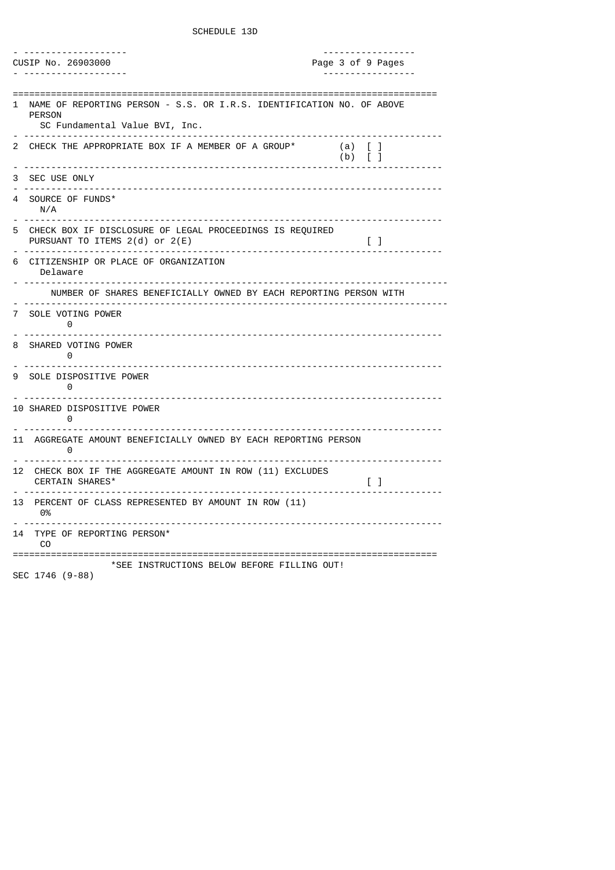| <u>.</u><br>CUSIP No. 26903000                                                                                                                                        | <u>.</u><br>Page 3 of 9 Pages         |
|-----------------------------------------------------------------------------------------------------------------------------------------------------------------------|---------------------------------------|
| . <u>.</u>                                                                                                                                                            |                                       |
| NAME OF REPORTING PERSON - S.S. OR I.R.S. IDENTIFICATION NO. OF ABOVE<br>1<br><b>PERSON</b><br>SC Fundamental Value BVI, Inc.<br>____________________________________ |                                       |
| CHECK THE APPROPRIATE BOX IF A MEMBER OF A GROUP*<br>2                                                                                                                | (a) [ ]<br>$(b)$ [ ]                  |
| SEC USE ONLY<br>3                                                                                                                                                     |                                       |
| . <u>.</u><br>SOURCE OF FUNDS*<br>4<br>N/A                                                                                                                            | <u> - - - - - - - - - - - - - - -</u> |
| CHECK BOX IF DISCLOSURE OF LEGAL PROCEEDINGS IS REQUIRED<br>5<br>PURSUANT TO ITEMS 2(d) or 2(E)                                                                       | LΙ                                    |
| CITIZENSHIP OR PLACE OF ORGANIZATION<br>6<br>Delaware                                                                                                                 |                                       |
| NUMBER OF SHARES BENEFICIALLY OWNED BY EACH REPORTING PERSON WITH                                                                                                     |                                       |
| 7<br>SOLE VOTING POWER<br>0                                                                                                                                           |                                       |
| SHARED VOTING POWER<br>8<br>0                                                                                                                                         |                                       |
| SOLE DISPOSITIVE POWER<br>9<br>0                                                                                                                                      |                                       |
| 10 SHARED DISPOSITIVE POWER<br>0                                                                                                                                      |                                       |
| -------------------------------<br>11 AGGREGATE AMOUNT BENEFICIALLY OWNED BY EACH REPORTING PERSON<br>0                                                               | <u>.</u>                              |
| 12 CHECK BOX IF THE AGGREGATE AMOUNT IN ROW (11) EXCLUDES<br>CERTAIN SHARES*                                                                                          | $\begin{bmatrix} 1 \end{bmatrix}$     |
| 13 PERCENT OF CLASS REPRESENTED BY AMOUNT IN ROW (11)<br>0%                                                                                                           |                                       |
| TYPE OF REPORTING PERSON*<br>14<br>CO.                                                                                                                                |                                       |
| *SEE INSTRUCTIONS BELOW BEFORE FILLING OUT!                                                                                                                           | ======================                |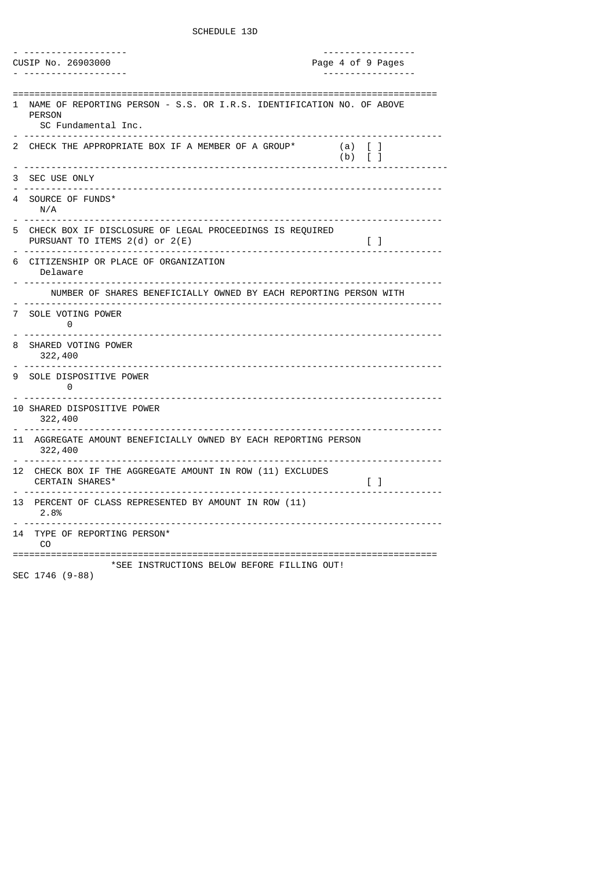| CUSIP No. 26903000<br><u>.</u>                                                                                     | <u>.</u><br>Page 4 of 9 Pages |
|--------------------------------------------------------------------------------------------------------------------|-------------------------------|
| NAME OF REPORTING PERSON - S.S. OR I.R.S. IDENTIFICATION NO. OF ABOVE<br>1<br><b>PERSON</b><br>SC Fundamental Inc. |                               |
| .<br>2 CHECK THE APPROPRIATE BOX IF A MEMBER OF A GROUP*                                                           | (a) [ ]<br>$(b)$ [ ]          |
| SEC USE ONLY<br>3                                                                                                  |                               |
| SOURCE OF FUNDS*<br>4<br>N/A                                                                                       |                               |
| CHECK BOX IF DISCLOSURE OF LEGAL PROCEEDINGS IS REQUIRED<br>5.<br>PURSUANT TO ITEMS $2(d)$ or $2(E)$<br><u></u>    | $\perp$                       |
| CITIZENSHIP OR PLACE OF ORGANIZATION<br>6<br>Delaware                                                              |                               |
| NUMBER OF SHARES BENEFICIALLY OWNED BY EACH REPORTING PERSON WITH                                                  |                               |
| SOLE VOTING POWER<br>7<br>0                                                                                        |                               |
| 8<br>SHARED VOTING POWER<br>322,400                                                                                |                               |
| <u>.</u><br>SOLE DISPOSITIVE POWER<br>9<br>$\bullet$                                                               |                               |
| 10 SHARED DISPOSITIVE POWER<br>322,400                                                                             |                               |
| 11 AGGREGATE AMOUNT BENEFICIALLY OWNED BY EACH REPORTING PERSON<br>322,400                                         |                               |
| 12 CHECK BOX IF THE AGGREGATE AMOUNT IN ROW (11) EXCLUDES<br>CERTAIN SHARES*                                       | $\Box$                        |
| PERCENT OF CLASS REPRESENTED BY AMOUNT IN ROW (11)<br>13 -<br>2.8%                                                 |                               |
| .<br>TYPE OF REPORTING PERSON*<br>14<br>CО                                                                         |                               |
| *SEE INSTRUCTIONS BELOW BEFORE FILLING OUT!                                                                        |                               |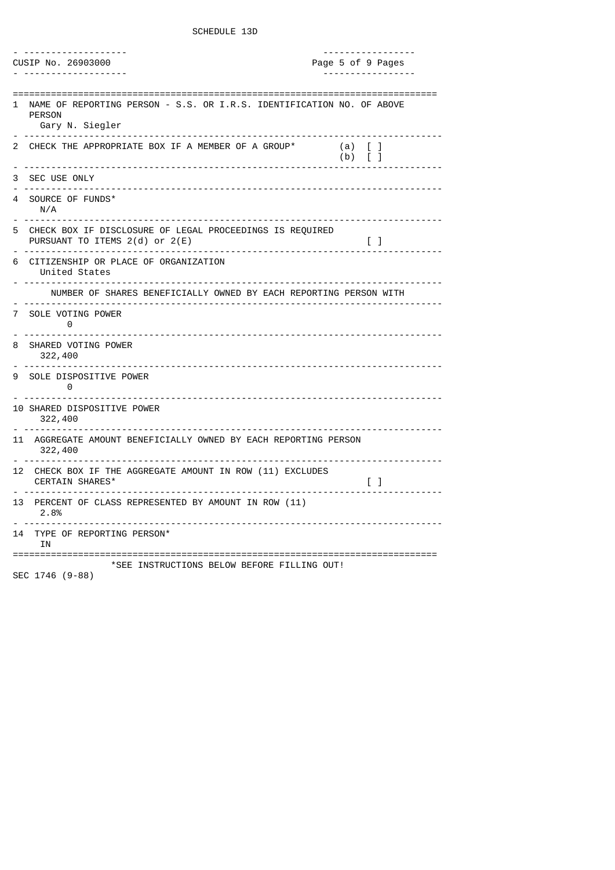| <u>.</u><br>CUSIP No. 26903000<br><u>.</u>                                                                                        |                      |        | <u>.</u><br>Page 5 of 9 Pages |
|-----------------------------------------------------------------------------------------------------------------------------------|----------------------|--------|-------------------------------|
| NAME OF REPORTING PERSON - S.S. OR I.R.S. IDENTIFICATION NO. OF ABOVE<br>1<br><b>PERSON</b><br>Gary N. Siegler                    |                      |        |                               |
| CHECK THE APPROPRIATE BOX IF A MEMBER OF A GROUP*<br>2                                                                            | (a) [ ]<br>$(b)$ [ ] |        |                               |
| --------------------------------------<br>-----------<br>SEC USE ONLY<br>З                                                        |                      |        |                               |
| SOURCE OF FUNDS*<br>4<br>N/A                                                                                                      |                      |        |                               |
| CHECK BOX IF DISCLOSURE OF LEGAL PROCEEDINGS IS REQUIRED<br>5<br>PURSUANT TO ITEMS 2(d) or 2(E)<br>_________________________<br>. |                      | t I    |                               |
| CITIZENSHIP OR PLACE OF ORGANIZATION<br>6<br>United States                                                                        |                      |        |                               |
| NUMBER OF SHARES BENEFICIALLY OWNED BY EACH REPORTING PERSON WITH                                                                 |                      |        |                               |
| SOLE VOTING POWER<br>7<br>0                                                                                                       |                      |        |                               |
| .<br>SHARED VOTING POWER<br>8<br>322,400                                                                                          |                      |        |                               |
| <u>.</u><br>SOLE DISPOSITIVE POWER<br>9<br>- 0                                                                                    |                      |        |                               |
| 10 SHARED DISPOSITIVE POWER<br>322,400                                                                                            |                      |        |                               |
| 11 AGGREGATE AMOUNT BENEFICIALLY OWNED BY EACH REPORTING PERSON<br>322,400                                                        |                      |        |                               |
| 12 CHECK BOX IF THE AGGREGATE AMOUNT IN ROW (11) EXCLUDES<br>CERTAIN SHARES*                                                      |                      | $\Box$ |                               |
| PERCENT OF CLASS REPRESENTED BY AMOUNT IN ROW (11)<br>13<br>2.8%                                                                  |                      |        |                               |
| _____________<br>TYPE OF REPORTING PERSON*<br>14<br>ΙN                                                                            |                      |        |                               |
| *SEE INSTRUCTIONS BELOW BEFORE FILLING OUT!                                                                                       |                      |        |                               |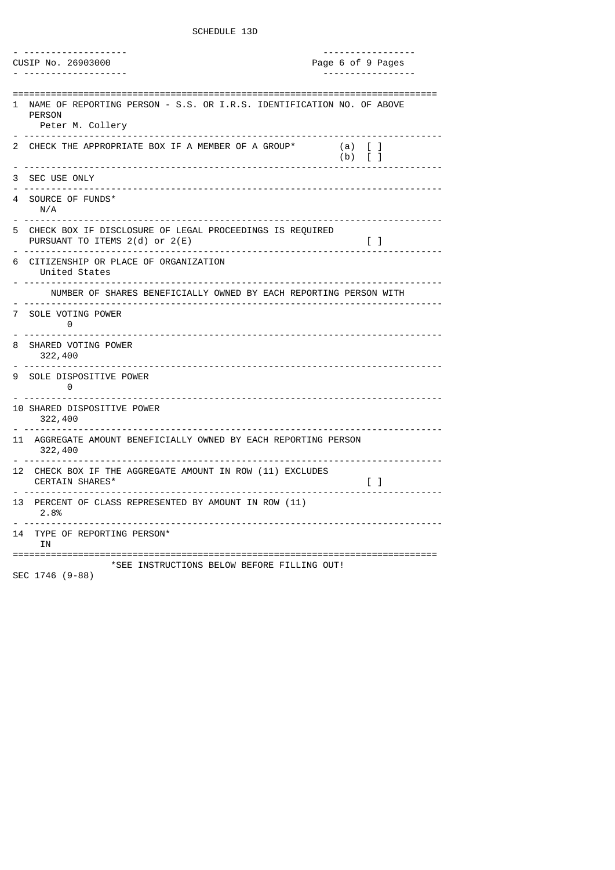| CUSIP No. 26903000<br>. <u>.</u>                                                                                           | -----------------<br>Page 6 of 9 Pages |
|----------------------------------------------------------------------------------------------------------------------------|----------------------------------------|
| NAME OF REPORTING PERSON - S.S. OR I.R.S. IDENTIFICATION NO. OF ABOVE<br>1<br><b>PERSON</b><br>Peter M. Collery            |                                        |
| 2 CHECK THE APPROPRIATE BOX IF A MEMBER OF A GROUP*                                                                        | (a) [ ]<br>$(b)$ []                    |
| SEC USE ONLY<br>3                                                                                                          |                                        |
| SOURCE OF FUNDS*<br>4<br>N/A                                                                                               |                                        |
| CHECK BOX IF DISCLOSURE OF LEGAL PROCEEDINGS IS REQUIRED<br>5<br>PURSUANT TO ITEMS 2(d) or 2(E)<br>----------------------- | $\begin{bmatrix} 1 \end{bmatrix}$      |
| CITIZENSHIP OR PLACE OF ORGANIZATION<br>6<br>United States                                                                 |                                        |
| NUMBER OF SHARES BENEFICIALLY OWNED BY EACH REPORTING PERSON WITH                                                          |                                        |
| SOLE VOTING POWER<br>$\overline{7}$<br>0                                                                                   |                                        |
| . <u>.</u><br>SHARED VOTING POWER<br>8<br>322,400                                                                          |                                        |
| <u>.</u><br><u> - - - - - - - - - - - - - - - - - -</u><br>SOLE DISPOSITIVE POWER<br>9<br>$\bullet$ 0                      |                                        |
| 10 SHARED DISPOSITIVE POWER<br>322,400                                                                                     |                                        |
| -------------------------------------<br>11 AGGREGATE AMOUNT BENEFICIALLY OWNED BY EACH REPORTING PERSON<br>322,400        |                                        |
| ----------------------------------<br>12 CHECK BOX IF THE AGGREGATE AMOUNT IN ROW (11) EXCLUDES<br>CERTAIN SHARES*         | $\Box$                                 |
| PERCENT OF CLASS REPRESENTED BY AMOUNT IN ROW (11)<br>13 -<br>2.8%                                                         |                                        |
| TYPE OF REPORTING PERSON*<br>14<br>ΙN                                                                                      |                                        |
| =========================<br>*SEE INSTRUCTIONS BELOW BEFORE FILLING OUT!                                                   |                                        |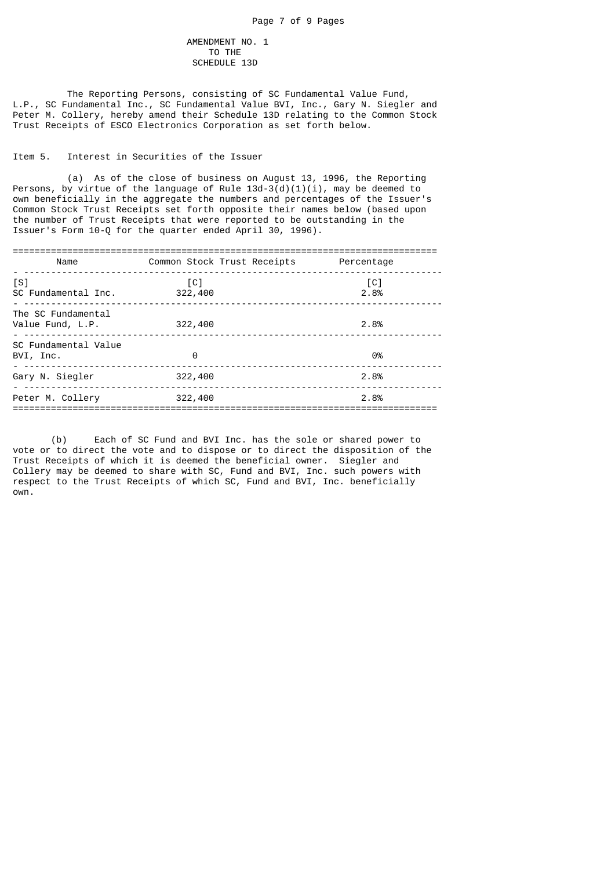### AMENDMENT NO. 1 TO THE SCHEDULE 13D

 The Reporting Persons, consisting of SC Fundamental Value Fund, L.P., SC Fundamental Inc., SC Fundamental Value BVI, Inc., Gary N. Siegler and Peter M. Collery, hereby amend their Schedule 13D relating to the Common Stock Trust Receipts of ESCO Electronics Corporation as set forth below.

### Item 5. Interest in Securities of the Issuer

 (a) As of the close of business on August 13, 1996, the Reporting Persons, by virtue of the language of Rule  $13d-3(d)(1)(1)$ , may be deemed to own beneficially in the aggregate the numbers and percentages of the Issuer's Common Stock Trust Receipts set forth opposite their names below (based upon the number of Trust Receipts that were reported to be outstanding in the Issuer's Form 10-Q for the quarter ended April 30, 1996).

| Name                                                   | Common Stock Trust Receipts  | Percentage                |
|--------------------------------------------------------|------------------------------|---------------------------|
| [S]<br>SC Fundamental Inc.                             | $\lceil C \rceil$<br>322,400 | $\lceil C \rceil$<br>2.8% |
| The SC Fundamental<br>Value Fund, L.P.                 | 322,400                      | 2.8%                      |
| SC Fundamental Value<br>BVI, Inc.                      | 0                            | 0%                        |
| Gary N. Siegler<br>___________________________________ | 322,400                      | 2.8%                      |
| Peter M. Collery                                       | 322,400                      | 2.8%                      |

 (b) Each of SC Fund and BVI Inc. has the sole or shared power to vote or to direct the vote and to dispose or to direct the disposition of the Trust Receipts of which it is deemed the beneficial owner. Siegler and Collery may be deemed to share with SC, Fund and BVI, Inc. such powers with respect to the Trust Receipts of which SC, Fund and BVI, Inc. beneficially own.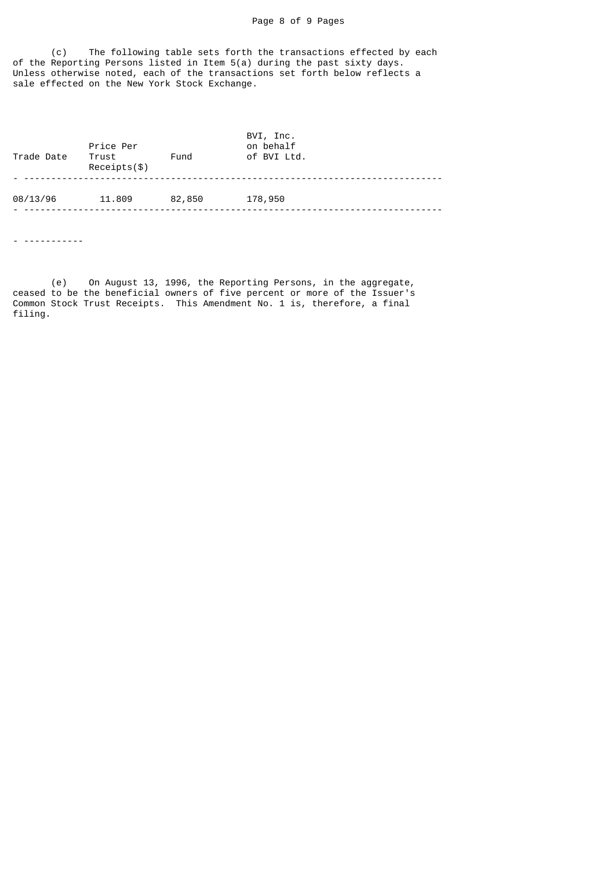### Page 8 of 9 Pages

 (c) The following table sets forth the transactions effected by each of the Reporting Persons listed in Item 5(a) during the past sixty days. Unless otherwise noted, each of the transactions set forth below reflects a sale effected on the New York Stock Exchange.

| Trade Date | Price Per<br>Trust<br>$Receipts(\$)$ | Fund   | BVI, Inc.<br>on behalf<br>of BVI Ltd. |
|------------|--------------------------------------|--------|---------------------------------------|
| 08/13/96   | 11,809                               | 82,850 | 178,950                               |

- -----------

 (e) On August 13, 1996, the Reporting Persons, in the aggregate, ceased to be the beneficial owners of five percent or more of the Issuer's Common Stock Trust Receipts. This Amendment No. 1 is, therefore, a final filing.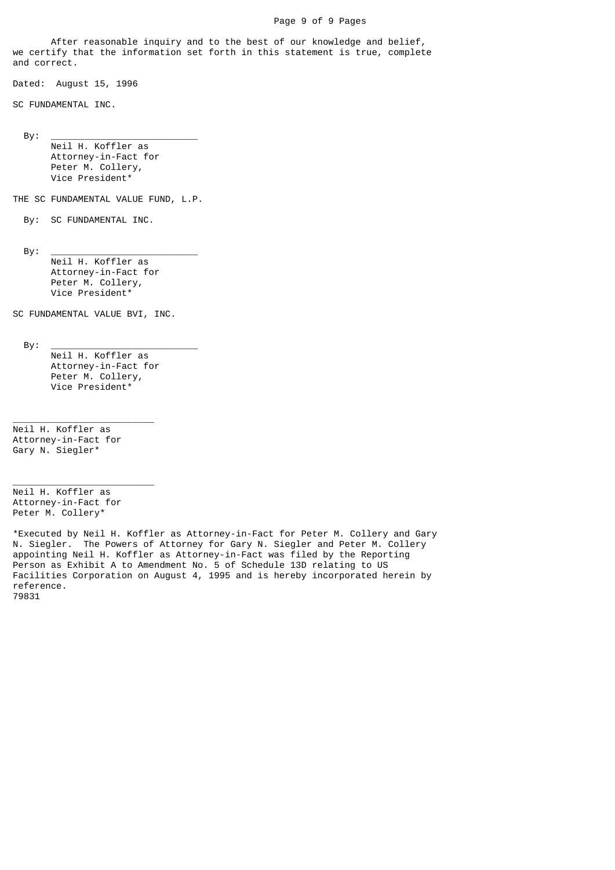#### Page 9 of 9 Pages

 After reasonable inquiry and to the best of our knowledge and belief, we certify that the information set forth in this statement is true, complete and correct.

Dated: August 15, 1996

SC FUNDAMENTAL INC.

By: \_\_\_\_\_\_\_\_\_\_\_\_\_\_\_\_\_\_\_\_\_\_\_\_\_\_\_

- Neil H. Koffler as Attorney-in-Fact for Peter M. Collery, Vice President\*
- THE SC FUNDAMENTAL VALUE FUND, L.P.
	- By: SC FUNDAMENTAL INC.

- By: \_\_\_\_\_\_\_\_\_\_\_\_\_\_\_\_\_\_\_\_\_\_\_\_\_\_\_ Neil H. Koffler as Attorney-in-Fact for Peter M. Collery, Vice President\*
- SC FUNDAMENTAL VALUE BVI, INC.

By: \_\_\_\_\_\_\_\_\_\_\_\_\_\_\_\_\_\_\_\_\_\_\_\_\_\_\_

 Neil H. Koffler as Attorney-in-Fact for Peter M. Collery, Vice President\*

Neil H. Koffler as Attorney-in-Fact for Gary N. Siegler\*

\_\_\_\_\_\_\_\_\_\_\_\_\_\_\_\_\_\_\_\_\_\_\_\_\_\_

\_\_\_\_\_\_\_\_\_\_\_\_\_\_\_\_\_\_\_\_\_\_\_\_\_\_

Neil H. Koffler as Attorney-in-Fact for Peter M. Collery\*

\*Executed by Neil H. Koffler as Attorney-in-Fact for Peter M. Collery and Gary N. Siegler. The Powers of Attorney for Gary N. Siegler and Peter M. Collery appointing Neil H. Koffler as Attorney-in-Fact was filed by the Reporting Person as Exhibit A to Amendment No. 5 of Schedule 13D relating to US Facilities Corporation on August 4, 1995 and is hereby incorporated herein by reference. 79831